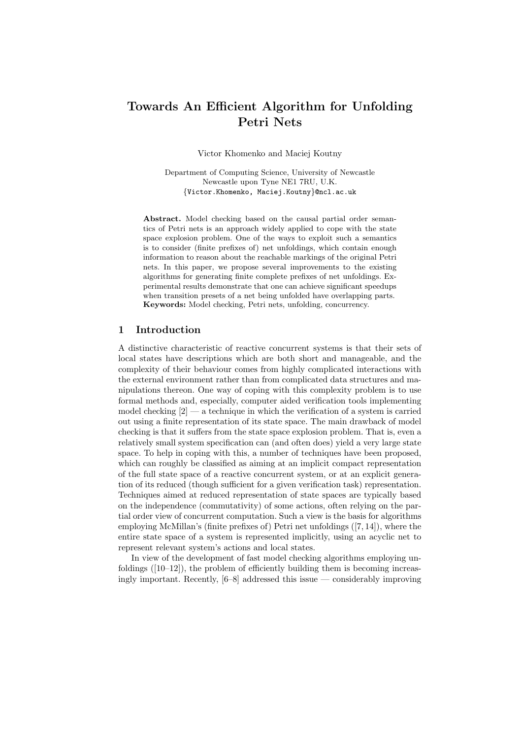# Towards An Efficient Algorithm for Unfolding Petri Nets

Victor Khomenko and Maciej Koutny

Department of Computing Science, University of Newcastle Newcastle upon Tyne NE1 7RU, U.K. {Victor.Khomenko, Maciej.Koutny}@ncl.ac.uk

Abstract. Model checking based on the causal partial order semantics of Petri nets is an approach widely applied to cope with the state space explosion problem. One of the ways to exploit such a semantics is to consider (finite prefixes of) net unfoldings, which contain enough information to reason about the reachable markings of the original Petri nets. In this paper, we propose several improvements to the existing algorithms for generating finite complete prefixes of net unfoldings. Experimental results demonstrate that one can achieve significant speedups when transition presets of a net being unfolded have overlapping parts. Keywords: Model checking, Petri nets, unfolding, concurrency.

## 1 Introduction

A distinctive characteristic of reactive concurrent systems is that their sets of local states have descriptions which are both short and manageable, and the complexity of their behaviour comes from highly complicated interactions with the external environment rather than from complicated data structures and manipulations thereon. One way of coping with this complexity problem is to use formal methods and, especially, computer aided verification tools implementing model checking  $[2]$  — a technique in which the verification of a system is carried out using a finite representation of its state space. The main drawback of model checking is that it suffers from the state space explosion problem. That is, even a relatively small system specification can (and often does) yield a very large state space. To help in coping with this, a number of techniques have been proposed, which can roughly be classified as aiming at an implicit compact representation of the full state space of a reactive concurrent system, or at an explicit generation of its reduced (though sufficient for a given verification task) representation. Techniques aimed at reduced representation of state spaces are typically based on the independence (commutativity) of some actions, often relying on the partial order view of concurrent computation. Such a view is the basis for algorithms employing McMillan's (finite prefixes of) Petri net unfoldings ([7, 14]), where the entire state space of a system is represented implicitly, using an acyclic net to represent relevant system's actions and local states.

In view of the development of fast model checking algorithms employing unfoldings  $([10-12])$ , the problem of efficiently building them is becoming increasingly important. Recently, [6–8] addressed this issue — considerably improving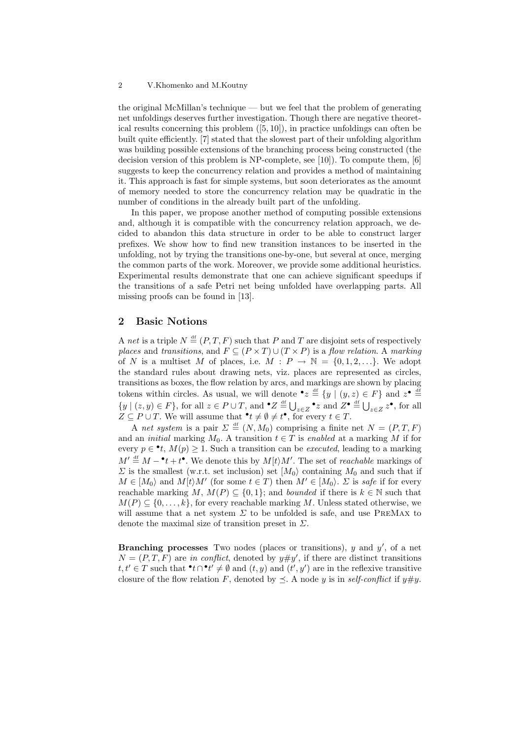the original McMillan's technique — but we feel that the problem of generating net unfoldings deserves further investigation. Though there are negative theoretical results concerning this problem ([5, 10]), in practice unfoldings can often be built quite efficiently. [7] stated that the slowest part of their unfolding algorithm was building possible extensions of the branching process being constructed (the decision version of this problem is NP-complete, see [10]). To compute them, [6] suggests to keep the concurrency relation and provides a method of maintaining it. This approach is fast for simple systems, but soon deteriorates as the amount of memory needed to store the concurrency relation may be quadratic in the number of conditions in the already built part of the unfolding.

In this paper, we propose another method of computing possible extensions and, although it is compatible with the concurrency relation approach, we decided to abandon this data structure in order to be able to construct larger prefixes. We show how to find new transition instances to be inserted in the unfolding, not by trying the transitions one-by-one, but several at once, merging the common parts of the work. Moreover, we provide some additional heuristics. Experimental results demonstrate that one can achieve significant speedups if the transitions of a safe Petri net being unfolded have overlapping parts. All missing proofs can be found in [13].

## 2 Basic Notions

A net is a triple  $N \stackrel{\text{df}}{=} (P, T, F)$  such that P and T are disjoint sets of respectively places and transitions, and  $F \subseteq (P \times T) \cup (T \times P)$  is a flow relation. A marking of N is a multiset M of places, i.e.  $M : P \to \mathbb{N} = \{0, 1, 2, ...\}$ . We adopt the standard rules about drawing nets, viz. places are represented as circles, transitions as boxes, the flow relation by arcs, and markings are shown by placing tokens within circles. As usual, we will denote  $\bullet z \stackrel{\text{df}}{=} \{y \mid (y, z) \in F\}$  and  $z^{\bullet} \stackrel{\text{df}}{=}$  $\{y \mid (z, y) \in F\}$ , for all  $z \in P \cup T$ , and  $\bullet Z \stackrel{\text{df}}{=} \bigcup_{z \in Z} \bullet z$  and  $Z \bullet \stackrel{\text{df}}{=} \bigcup_{z \in Z} z \bullet$ , for all  $Z \subseteq P \cup T$ . We will assume that  $\mathbf{P}t \neq \emptyset \neq t^{\bullet}$ , for every  $t \in T$ .

A net system is a pair  $\Sigma \stackrel{\text{df}}{=} (N, M_0)$  comprising a finite net  $N = (P, T, F)$ and an *initial* marking  $M_0$ . A transition  $t \in T$  is enabled at a marking M if for every  $p \in \bullet t$ ,  $M(p) \geq 1$ . Such a transition can be *executed*, leading to a marking  $M' \stackrel{\text{df}}{=} M - \cdot t + t^{\bullet}$ . We denote this by  $M[t \rangle M'$ . The set of *reachable* markings of  $\Sigma$  is the smallest (w.r.t. set inclusion) set  $|M_0\rangle$  containing  $M_0$  and such that if  $M \in [M_0]$  and  $M[t\rangle M'$  (for some  $t \in T$ ) then  $M' \in [M_0)$ .  $\Sigma$  is safe if for every reachable marking  $M, M(P) \subseteq \{0,1\}$ ; and bounded if there is  $k \in \mathbb{N}$  such that  $M(P) \subseteq \{0, \ldots, k\}$ , for every reachable marking M. Unless stated otherwise, we will assume that a net system  $\Sigma$  to be unfolded is safe, and use PREMAX to denote the maximal size of transition preset in  $\Sigma$ .

**Branching processes** Two nodes (places or transitions),  $y$  and  $y'$ , of a net  $N = (P, T, F)$  are in conflict, denoted by  $y \# y'$ , if there are distinct transitions  $t, t' \in T$  such that  $\mathbf{P} \cdot t' \neq \emptyset$  and  $(t, y)$  and  $(t', y')$  are in the reflexive transitive closure of the flow relation F, denoted by  $\prec$ . A node y is in self-conflict if  $y \# y$ .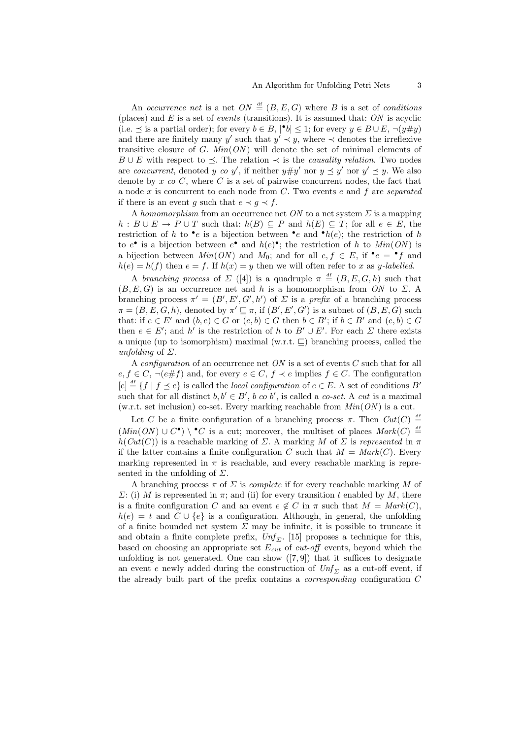An occurrence net is a net  $ON \stackrel{\text{df}}{=} (B, E, G)$  where B is a set of conditions (places) and  $E$  is a set of *events* (transitions). It is assumed that: ON is acyclic (i.e.  $\leq$  is a partial order); for every  $b \in B$ ,  $|\bullet b| \leq 1$ ; for every  $y \in B \cup E$ ,  $\neg(y \# y)$ and there are finitely many y' such that  $y' \prec y$ , where  $\prec$  denotes the irreflexive transitive closure of G.  $Min(ON)$  will denote the set of minimal elements of  $B \cup E$  with respect to  $\preceq$ . The relation  $\prec$  is the *causality relation*. Two nodes are *concurrent*, denoted y co y', if neither  $y \# y'$  nor  $y \preceq y'$  nor  $y' \preceq y$ . We also denote by  $x \text{ co } C$ , where  $C$  is a set of pairwise concurrent nodes, the fact that a node  $x$  is concurrent to each node from  $C$ . Two events  $e$  and  $f$  are separated if there is an event g such that  $e \prec g \prec f$ .

A homomorphism from an occurrence net ON to a net system  $\Sigma$  is a mapping  $h : B \cup E \to P \cup T$  such that:  $h(B) \subseteq P$  and  $h(E) \subseteq T$ ; for all  $e \in E$ , the restriction of h to  $\bullet$  is a bijection between  $\bullet$  and  $\bullet$ h(e); the restriction of h to  $e^{\bullet}$  is a bijection between  $e^{\bullet}$  and  $h(e)^{\bullet}$ ; the restriction of h to  $Min(ON)$  is a bijection between  $Min(ON)$  and  $M_0$ ; and for all  $e, f \in E$ , if  $\bullet e = \bullet f$  and  $h(e) = h(f)$  then  $e = f$ . If  $h(x) = y$  then we will often refer to x as y-labelled.

A branching process of  $\Sigma$  ([4]) is a quadruple  $\pi \stackrel{\text{df}}{=} (B, E, G, h)$  such that  $(B, E, G)$  is an occurrence net and h is a homomorphism from ON to  $\Sigma$ . branching process  $\pi' = (B', E', G', h')$  of  $\Sigma$  is a *prefix* of a branching process  $\pi = (B, E, G, h)$ , denoted by  $\pi' \sqsubseteq \pi$ , if  $(B', E', G')$  is a subnet of  $(B, E, G)$  such that: if  $e \in E'$  and  $(b, e) \in G$  or  $(e, b) \in G$  then  $b \in B'$ ; if  $b \in B'$  and  $(e, b) \in G$ then  $e \in E'$ ; and h' is the restriction of h to  $B' \cup E'$ . For each  $\Sigma$  there exists a unique (up to isomorphism) maximal (w.r.t.  $\Box$ ) branching process, called the unfolding of  $\Sigma$ .

A configuration of an occurrence net ON is a set of events C such that for all  $e, f \in C$ ,  $\neg (e \# f)$  and, for every  $e \in C$ ,  $f \prec e$  implies  $f \in C$ . The configuration  $[e] \stackrel{\text{df}}{=} \{f \mid f \preceq e\}$  is called the *local configuration* of  $e \in E$ . A set of conditions B' such that for all distinct  $b, b' \in B'$ , b co b', is called a co-set. A cut is a maximal (w.r.t. set inclusion) co-set. Every marking reachable from  $Min(ON)$  is a cut.

Let C be a finite configuration of a branching process  $\pi$ . Then  $Cut(C) \stackrel{\text{df}}{=}$  $(Min(ON) \cup C^{\bullet}) \setminus {}^{\bullet}C$  is a cut; moreover, the multiset of places  $Mark(C) \stackrel{\text{df}}{=}$  $h(Cut(C))$  is a reachable marking of  $\Sigma$ . A marking M of  $\Sigma$  is represented in  $\pi$ if the latter contains a finite configuration C such that  $M = Mark(C)$ . Every marking represented in  $\pi$  is reachable, and every reachable marking is represented in the unfolding of  $\Sigma$ .

A branching process  $\pi$  of  $\Sigma$  is *complete* if for every reachable marking M of  $\Sigma$ : (i) M is represented in  $\pi$ ; and (ii) for every transition t enabled by M, there is a finite configuration C and an event  $e \notin C$  in  $\pi$  such that  $M = Mark(C)$ ,  $h(e) = t$  and  $C \cup \{e\}$  is a configuration. Although, in general, the unfolding of a finite bounded net system  $\Sigma$  may be infinite, it is possible to truncate it and obtain a finite complete prefix,  $Unf_{\Sigma}$ . [15] proposes a technique for this, based on choosing an appropriate set  $E_{cut}$  of  $cut$ -off events, beyond which the unfolding is not generated. One can show  $([7, 9])$  that it suffices to designate an event e newly added during the construction of  $Unf_{\Sigma}$  as a cut-off event, if the already built part of the prefix contains a *corresponding* configuration  $C$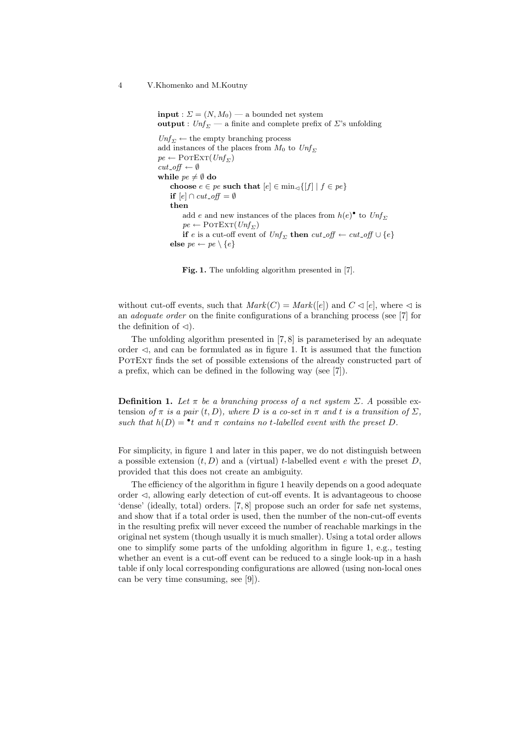**input** :  $\Sigma = (N, M_0)$  — a bounded net system output :  $\text{Unf}_{\Sigma}$  — a finite and complete prefix of  $\Sigma$ 's unfolding

 $\mathit{Unf}_\Sigma \leftarrow$  the empty branching process add instances of the places from  $M_0$  to  $Unf_{\Sigma}$  $pe \leftarrow \text{PortEXT}(Unf_{\Sigma})$  $cut\_off \leftarrow \emptyset$ while  $pe \neq \emptyset$  do choose  $e \in pe$  such that  $[e] \in min_{\lhd} \{[f] \mid f \in pe\}$ if  $[e] \cap cut\_off = \emptyset$ then add e and new instances of the places from  $h(e)^{\bullet}$  to  $\mathit{Unf}_{\Sigma}$  $pe \leftarrow$  POTEXT $(Unf_{\Sigma})$ if e is a cut-off event of  $\mathit{Unf}_\Sigma$  then  $\mathit{cut\_off} \leftarrow \mathit{cut\_off} \cup \{e\}$ else  $pe \leftarrow pe \setminus \{e\}$ 

Fig. 1. The unfolding algorithm presented in [7].

without cut-off events, such that  $Mark(C) = Mark([e])$  and  $C \triangleleft [e]$ , where  $\triangleleft$  is an adequate order on the finite configurations of a branching process (see [7] for the definition of  $\triangleleft$ ).

The unfolding algorithm presented in [7, 8] is parameterised by an adequate order  $\triangleleft$ , and can be formulated as in figure 1. It is assumed that the function POTEXT finds the set of possible extensions of the already constructed part of a prefix, which can be defined in the following way (see [7]).

**Definition 1.** Let  $\pi$  be a branching process of a net system  $\Sigma$ . A possible extension of  $\pi$  is a pair  $(t, D)$ , where D is a co-set in  $\pi$  and t is a transition of  $\Sigma$ , such that  $h(D) = \cdot t$  and  $\pi$  contains no t-labelled event with the preset D.

For simplicity, in figure 1 and later in this paper, we do not distinguish between a possible extension  $(t, D)$  and a (virtual) t-labelled event e with the preset D, provided that this does not create an ambiguity.

The efficiency of the algorithm in figure 1 heavily depends on a good adequate order  $\triangleleft$ , allowing early detection of cut-off events. It is advantageous to choose 'dense' (ideally, total) orders. [7, 8] propose such an order for safe net systems, and show that if a total order is used, then the number of the non-cut-off events in the resulting prefix will never exceed the number of reachable markings in the original net system (though usually it is much smaller). Using a total order allows one to simplify some parts of the unfolding algorithm in figure 1, e.g., testing whether an event is a cut-off event can be reduced to a single look-up in a hash table if only local corresponding configurations are allowed (using non-local ones can be very time consuming, see [9]).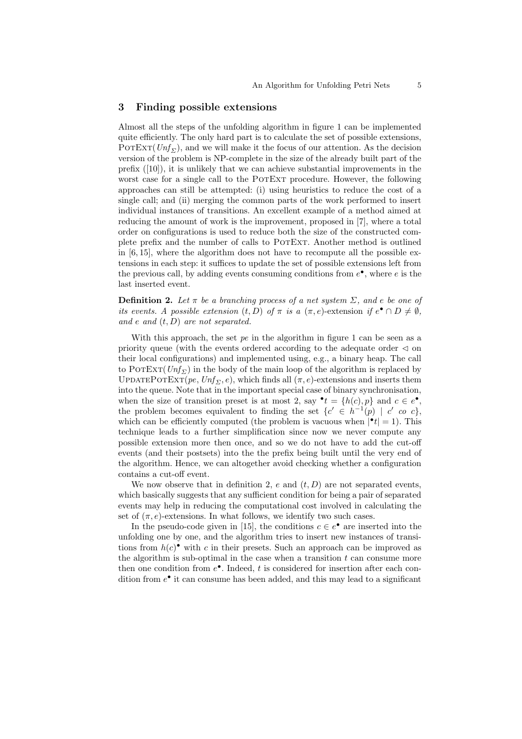#### 3 Finding possible extensions

Almost all the steps of the unfolding algorithm in figure 1 can be implemented quite efficiently. The only hard part is to calculate the set of possible extensions, POTEXT( $Unf_{\Sigma}$ ), and we will make it the focus of our attention. As the decision version of the problem is NP-complete in the size of the already built part of the prefix  $([10])$ , it is unlikely that we can achieve substantial improvements in the worst case for a single call to the POTEXT procedure. However, the following approaches can still be attempted: (i) using heuristics to reduce the cost of a single call; and (ii) merging the common parts of the work performed to insert individual instances of transitions. An excellent example of a method aimed at reducing the amount of work is the improvement, proposed in [7], where a total order on configurations is used to reduce both the size of the constructed complete prefix and the number of calls to POTEXT. Another method is outlined in [6, 15], where the algorithm does not have to recompute all the possible extensions in each step: it suffices to update the set of possible extensions left from the previous call, by adding events consuming conditions from  $e^{\bullet}$ , where e is the last inserted event.

**Definition 2.** Let  $\pi$  be a branching process of a net system  $\Sigma$ , and e be one of its events. A possible extension  $(t, D)$  of  $\pi$  is a  $(\pi, e)$ -extension if  $e^{\bullet} \cap D \neq \emptyset$ , and  $e$  and  $(t, D)$  are not separated.

With this approach, the set  $pe$  in the algorithm in figure 1 can be seen as a priority queue (with the events ordered according to the adequate order  $\triangleleft$  on their local configurations) and implemented using, e.g., a binary heap. The call to  $\text{Portext}(Unf_{\Sigma})$  in the body of the main loop of the algorithm is replaced by UPDATEPOTEXT(pe,  $Unf_{\Sigma}$ , e), which finds all ( $\pi$ , e)-extensions and inserts them into the queue. Note that in the important special case of binary synchronisation, when the size of transition preset is at most 2, say  $\bullet t = \{h(c), p\}$  and  $c \in e^{\bullet}$ , the problem becomes equivalent to finding the set  $\{c' \in h^{-1}(p) \mid c' \text{ co } c\},\$ which can be efficiently computed (the problem is vacuous when  $|\cdot t| = 1$ ). This technique leads to a further simplification since now we never compute any possible extension more then once, and so we do not have to add the cut-off events (and their postsets) into the the prefix being built until the very end of the algorithm. Hence, we can altogether avoid checking whether a configuration contains a cut-off event.

We now observe that in definition 2, e and  $(t, D)$  are not separated events, which basically suggests that any sufficient condition for being a pair of separated events may help in reducing the computational cost involved in calculating the set of  $(\pi, e)$ -extensions. In what follows, we identify two such cases.

In the pseudo-code given in [15], the conditions  $c \in e^{\bullet}$  are inserted into the unfolding one by one, and the algorithm tries to insert new instances of transitions from  $h(c)$ <sup>•</sup> with c in their presets. Such an approach can be improved as the algorithm is sub-optimal in the case when a transition  $t$  can consume more then one condition from  $e^{\bullet}$ . Indeed, t is considered for insertion after each condition from  $e^{\bullet}$  it can consume has been added, and this may lead to a significant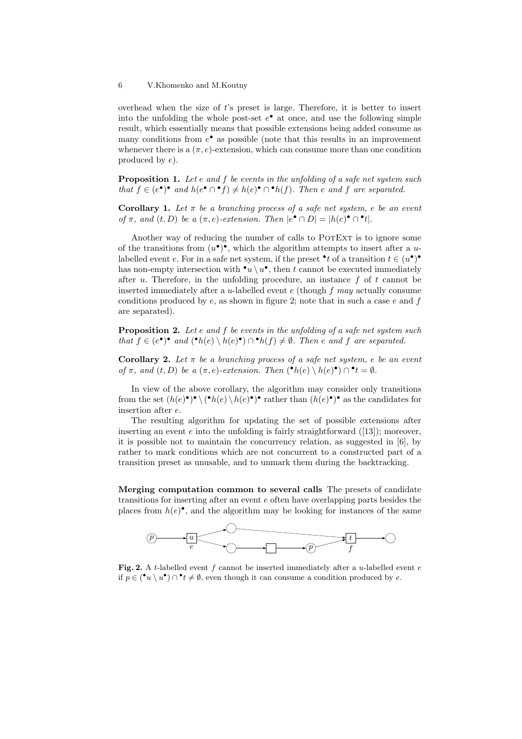overhead when the size of  $t$ 's preset is large. Therefore, it is better to insert into the unfolding the whole post-set  $e^{\bullet}$  at once, and use the following simple result, which essentially means that possible extensions being added consume as many conditions from  $e^{\bullet}$  as possible (note that this results in an improvement whenever there is a  $(\pi, e)$ -extension, which can consume more than one condition produced by e).

**Proposition 1.** Let e and f be events in the unfolding of a safe net system such that  $f \in (e^{\bullet})^{\bullet}$  and  $h(e^{\bullet} \cap {}^{\bullet} f) \neq h(e)^{\bullet} \cap {}^{\bullet} h(f)$ . Then e and f are separated.

**Corollary 1.** Let  $\pi$  be a branching process of a safe net system, e be an event of  $\pi$ , and  $(t, D)$  be a  $(\pi, e)$ -extension. Then  $|e^{\bullet} \cap D| = |h(e)^{\bullet} \cap \bullet t|$ .

Another way of reducing the number of calls to POTEXT is to ignore some of the transitions from  $(u^{\bullet})^{\bullet}$ , which the algorithm attempts to insert after a ulabelled event e. For in a safe net system, if the preset  $\bullet t$  of a transition  $t \in (u^{\bullet})^{\bullet}$ has non-empty intersection with  $\mathbf{v}_u \setminus u^{\bullet}$ , then t cannot be executed immediately after u. Therefore, in the unfolding procedure, an instance  $f$  of  $t$  cannot be inserted immediately after a u-labelled event  $e$  (though  $f$  may actually consume conditions produced by  $e$ , as shown in figure 2; note that in such a case  $e$  and  $f$ are separated).

**Proposition 2.** Let  $e$  and  $f$  be events in the unfolding of a safe net system such that  $f \in (e^{\bullet})^{\bullet}$  and  $({^{\bullet}h}(e) \setminus h(e)^{\bullet}) \cap {^{\bullet}h}(f) \neq \emptyset$ . Then e and f are separated.

Corollary 2. Let  $\pi$  be a branching process of a safe net system, e be an event of  $\pi$ , and  $(t, D)$  be a  $(\pi, e)$ -extension. Then  $(\bullet h(e) \setminus h(e)^{\bullet}) \cap \bullet t = \emptyset$ .

In view of the above corollary, the algorithm may consider only transitions from the set  $(h(e)^{\bullet})^{\bullet} \setminus (h(e)^{\bullet})^{\bullet}$  rather than  $(h(e)^{\bullet})^{\bullet}$  as the candidates for insertion after e.

The resulting algorithm for updating the set of possible extensions after inserting an event  $e$  into the unfolding is fairly straightforward ([13]); moreover, it is possible not to maintain the concurrency relation, as suggested in [6], by rather to mark conditions which are not concurrent to a constructed part of a transition preset as unusable, and to unmark them during the backtracking.

Merging computation common to several calls The presets of candidate transitions for inserting after an event e often have overlapping parts besides the places from  $h(e)$ <sup> $\bullet$ </sup>, and the algorithm may be looking for instances of the same



Fig. 2. A t-labelled event  $f$  cannot be inserted immediately after a  $u$ -labelled event  $e$ if  $p \in (\mathbf{e} \cdot u \setminus u^{\bullet}) \cap \mathbf{e} \neq \emptyset$ , even though it can consume a condition produced by e.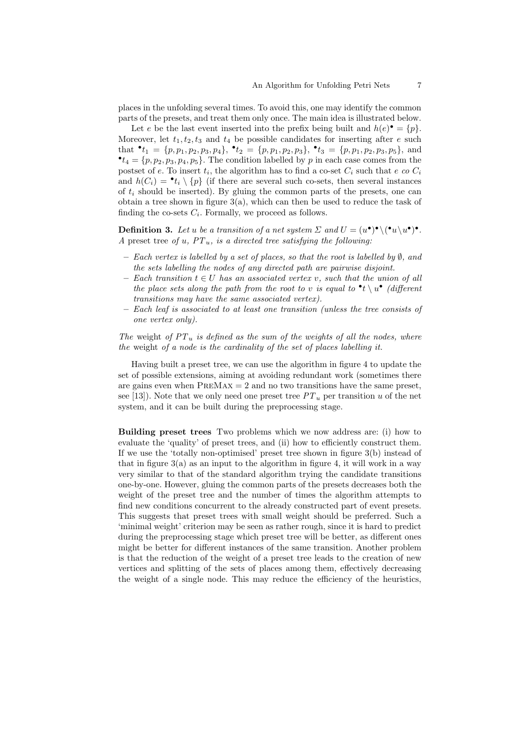places in the unfolding several times. To avoid this, one may identify the common parts of the presets, and treat them only once. The main idea is illustrated below.

Let e be the last event inserted into the prefix being built and  $h(e)^{\bullet} = \{p\}.$ Moreover, let  $t_1, t_2, t_3$  and  $t_4$  be possible candidates for inserting after e such that  $\bullet t_1 = \{p, p_1, p_2, p_3, p_4\}, \bullet t_2 = \{p, p_1, p_2, p_3\}, \bullet t_3 = \{p, p_1, p_2, p_3, p_5\}, \bullet t_4 = \{p, p_1, p_2, p_4, p_5\}$  $\bullet t_4 = \{p, p_2, p_3, p_4, p_5\}.$  The condition labelled by p in each case comes from the postset of e. To insert  $t_i$ , the algorithm has to find a co-set  $C_i$  such that e co  $C_i$ and  $h(C_i) = \cdot t_i \setminus \{p\}$  (if there are several such co-sets, then several instances of  $t_i$  should be inserted). By gluing the common parts of the presets, one can obtain a tree shown in figure  $3(a)$ , which can then be used to reduce the task of finding the co-sets  $C_i$ . Formally, we proceed as follows.

**Definition 3.** Let u be a transition of a net system  $\Sigma$  and  $U = (u^{\bullet})^{\bullet} \setminus ({}^{\bullet}u \setminus u^{\bullet})^{\bullet}$ . A preset tree of u,  $PT_u$ , is a directed tree satisfying the following:

- Each vertex is labelled by a set of places, so that the root is labelled by  $\emptyset$ , and the sets labelling the nodes of any directed path are pairwise disjoint.
- $-$  Each transition  $t \in U$  has an associated vertex v, such that the union of all the place sets along the path from the root to v is equal to  $\mathbf{t} \setminus u^{\bullet}$  (different transitions may have the same associated vertex).
- Each leaf is associated to at least one transition (unless the tree consists of one vertex only).

The weight of  $PT_u$  is defined as the sum of the weights of all the nodes, where the weight of a node is the cardinality of the set of places labelling it.

Having built a preset tree, we can use the algorithm in figure 4 to update the set of possible extensions, aiming at avoiding redundant work (sometimes there are gains even when  $PREMAX = 2$  and no two transitions have the same preset, see [13]). Note that we only need one preset tree  $PT_u$  per transition u of the net system, and it can be built during the preprocessing stage.

Building preset trees Two problems which we now address are: (i) how to evaluate the 'quality' of preset trees, and (ii) how to efficiently construct them. If we use the 'totally non-optimised' preset tree shown in figure 3(b) instead of that in figure  $3(a)$  as an input to the algorithm in figure 4, it will work in a way very similar to that of the standard algorithm trying the candidate transitions one-by-one. However, gluing the common parts of the presets decreases both the weight of the preset tree and the number of times the algorithm attempts to find new conditions concurrent to the already constructed part of event presets. This suggests that preset trees with small weight should be preferred. Such a 'minimal weight' criterion may be seen as rather rough, since it is hard to predict during the preprocessing stage which preset tree will be better, as different ones might be better for different instances of the same transition. Another problem is that the reduction of the weight of a preset tree leads to the creation of new vertices and splitting of the sets of places among them, effectively decreasing the weight of a single node. This may reduce the efficiency of the heuristics,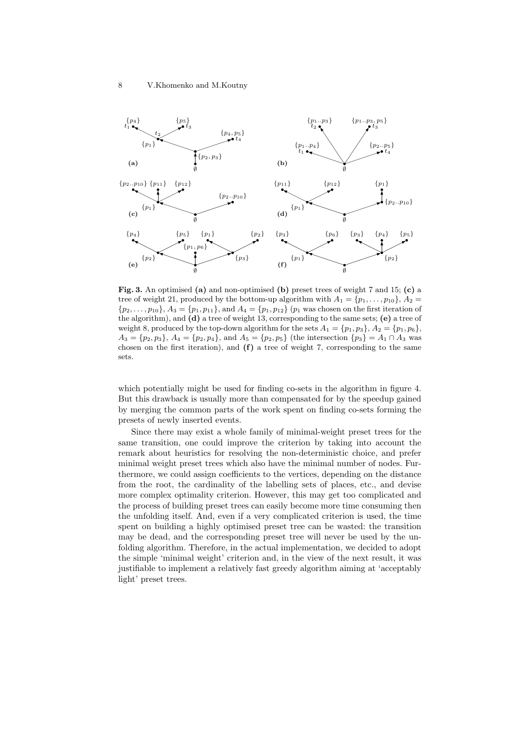

Fig. 3. An optimised (a) and non-optimised (b) preset trees of weight 7 and 15; (c) a tree of weight 21, produced by the bottom-up algorithm with  $A_1 = \{p_1, \ldots, p_{10}\}, A_2 =$  $\{p_2, \ldots, p_{10}\}, A_3 = \{p_1, p_{11}\}, \text{ and } A_4 = \{p_1, p_{12}\}$   $(p_1 \text{ was chosen on the first iteration of})$ the algorithm), and (d) a tree of weight 13, corresponding to the same sets; (e) a tree of weight 8, produced by the top-down algorithm for the sets  $A_1 = \{p_1, p_3\}, A_2 = \{p_1, p_6\},\$  $A_3 = \{p_2, p_3\}, A_4 = \{p_2, p_4\}, \text{ and } A_5 = \{p_2, p_5\}$  (the intersection  $\{p_3\} = A_1 \cap A_3$  was chosen on the first iteration), and  $(f)$  a tree of weight 7, corresponding to the same sets.

which potentially might be used for finding co-sets in the algorithm in figure 4. But this drawback is usually more than compensated for by the speedup gained by merging the common parts of the work spent on finding co-sets forming the presets of newly inserted events.

Since there may exist a whole family of minimal-weight preset trees for the same transition, one could improve the criterion by taking into account the remark about heuristics for resolving the non-deterministic choice, and prefer minimal weight preset trees which also have the minimal number of nodes. Furthermore, we could assign coefficients to the vertices, depending on the distance from the root, the cardinality of the labelling sets of places, etc., and devise more complex optimality criterion. However, this may get too complicated and the process of building preset trees can easily become more time consuming then the unfolding itself. And, even if a very complicated criterion is used, the time spent on building a highly optimised preset tree can be wasted: the transition may be dead, and the corresponding preset tree will never be used by the unfolding algorithm. Therefore, in the actual implementation, we decided to adopt the simple 'minimal weight' criterion and, in the view of the next result, it was justifiable to implement a relatively fast greedy algorithm aiming at 'acceptably light' preset trees.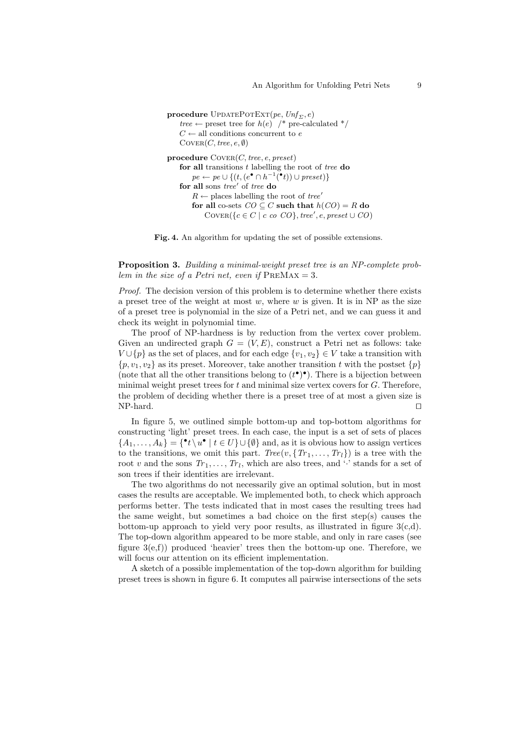procedure UPDATEPOTEXT $(pe, Unf_{\Sigma}, e)$ tree  $\leftarrow$  preset tree for  $h(e)$  /\* pre-calculated \*/  $C \leftarrow$  all conditions concurrent to e  $CovER(C, tree, e, \emptyset)$ procedure  $\text{CovER}(C, \text{tree}, e, \text{present})$ for all transitions  $t$  labelling the root of tree do  $pe \leftarrow pe \cup \{(t, (e^{\bullet} \cap h^{-1}(\bullet t)) \cup preset)\}$ for all sons tree' of tree do  $R \leftarrow$  places labelling the root of tree' for all co-sets  $CO \subseteq C$  such that  $h(CO) = R$  do  $CovER({c \in C \mid c \text{ co } CO}, tree', e, preset \cup CO)$ 

Fig. 4. An algorithm for updating the set of possible extensions.

Proposition 3. Building a minimal-weight preset tree is an NP-complete problem in the size of a Petri net, even if  $PREMAX = 3$ .

Proof. The decision version of this problem is to determine whether there exists a preset tree of the weight at most  $w$ , where  $w$  is given. It is in NP as the size of a preset tree is polynomial in the size of a Petri net, and we can guess it and check its weight in polynomial time.

The proof of NP-hardness is by reduction from the vertex cover problem. Given an undirected graph  $G = (V, E)$ , construct a Petri net as follows: take  $V \cup \{p\}$  as the set of places, and for each edge  $\{v_1, v_2\} \in V$  take a transition with  $\{p, v_1, v_2\}$  as its preset. Moreover, take another transition t with the postset  $\{p\}$ (note that all the other transitions belong to  $(t^{\bullet})^{\bullet}$ ). There is a bijection between minimal weight preset trees for  $t$  and minimal size vertex covers for  $G$ . Therefore, the problem of deciding whether there is a preset tree of at most a given size is  $NP$ -hard.  $\square$ 

In figure 5, we outlined simple bottom-up and top-bottom algorithms for constructing 'light' preset trees. In each case, the input is a set of sets of places  $\{A_1,\ldots,A_k\} = \{^{\bullet}t\setminus u^{\bullet} \mid t \in U\} \cup \{\emptyset\}$  and, as it is obvious how to assign vertices to the transitions, we omit this part.  $Tree(v, \{Tr_1, \ldots, Tr_l\})$  is a tree with the root v and the sons  $Tr_1, \ldots, Tr_l$ , which are also trees, and '·' stands for a set of son trees if their identities are irrelevant.

The two algorithms do not necessarily give an optimal solution, but in most cases the results are acceptable. We implemented both, to check which approach performs better. The tests indicated that in most cases the resulting trees had the same weight, but sometimes a bad choice on the first step(s) causes the bottom-up approach to yield very poor results, as illustrated in figure  $3(c,d)$ . The top-down algorithm appeared to be more stable, and only in rare cases (see figure  $3(e,f)$ ) produced 'heavier' trees then the bottom-up one. Therefore, we will focus our attention on its efficient implementation.

A sketch of a possible implementation of the top-down algorithm for building preset trees is shown in figure 6. It computes all pairwise intersections of the sets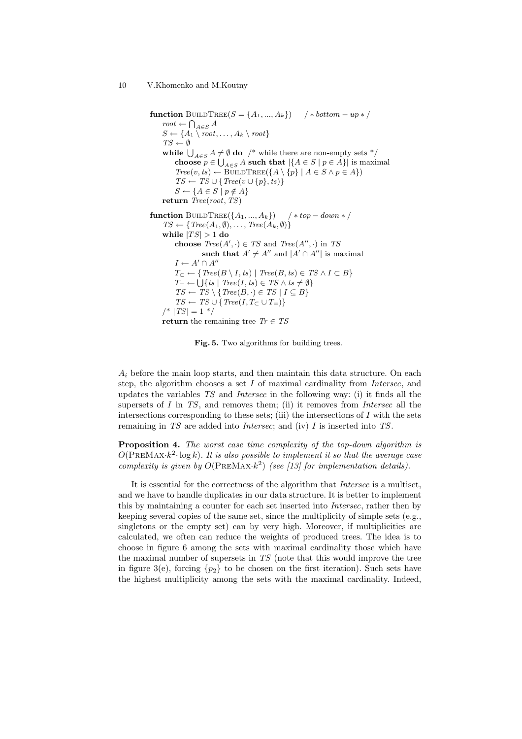function BUILDTREE( $S = \{A_1, ..., A_k\}$ ) /\*bottom – up \* /  $root \leftarrow \bigcap_{A \in S} A$  $S \leftarrow \{A_1 \setminus root, \ldots, A_k \setminus root\}$  $TS \leftarrow \emptyset$ while  $\bigcup_{A\in S} A \neq \emptyset$  do /\* while there are non-empty sets \*/ choose  $p \in \bigcup_{A \in S} A$  such that  $|\{A \in S \mid p \in A\}|$  is maximal  $Tree(v, ts) \leftarrow \text{BULDTree}(\lbrace A \setminus \lbrace p \rbrace \mid A \in S \land p \in A \rbrace)$  $TS \leftarrow TS \cup \{Tree(v \cup \{p\}, ts)\}$  $S \leftarrow \{A \in S \mid p \notin A\}$ return Tree(root, TS) function BUILDTREE({ $A_1$ , ...,  $A_k$ }) /\*top – down \*/  $TS \leftarrow \{Tree(A_1, \emptyset), \ldots, Tree(A_k, \emptyset) \}$ while  $|TS| > 1$  do choose  $Tree(A', \cdot) \in TS$  and  $Tree(A'', \cdot)$  in TS such that  $A' \neq A''$  and  $|A' \cap A''|$  is maximal  $I \leftarrow A' \cap A''$  $T_{\subset} \leftarrow \{Tree(B \setminus I, ts) \mid Tree(B, ts) \in TS \land I \subset B\}$  $T_{=} \leftarrow \bigcup \{ts \mid Tree(I, ts) \in TS \land ts \neq \emptyset\}$  $TS \leftarrow TS \setminus \{Tree(B, \cdot) \in TS \mid I \subseteq B\}$  $TS \leftarrow TS \cup \{Tree(I, T_{\subset} \cup T_{=})\}$  $/*$  | TS| = 1  $*/$ return the remaining tree  $Tr \in TS$ 

Fig. 5. Two algorithms for building trees.

 $A_i$  before the main loop starts, and then maintain this data structure. On each step, the algorithm chooses a set I of maximal cardinality from Intersec, and updates the variables  $TS$  and *Intersec* in the following way: (i) it finds all the supersets of  $I$  in  $TS$ , and removes them; (ii) it removes from *Intersec* all the intersections corresponding to these sets; (iii) the intersections of  $I$  with the sets remaining in TS are added into Intersec; and (iv) I is inserted into TS.

Proposition 4. The worst case time complexity of the top-down algorithm is  $O(PREMAX \cdot k^2 \cdot \log k)$ . It is also possible to implement it so that the average case complexity is given by  $O(\text{PreMAX-}k^2)$  (see [13] for implementation details).

It is essential for the correctness of the algorithm that Intersec is a multiset, and we have to handle duplicates in our data structure. It is better to implement this by maintaining a counter for each set inserted into Intersec, rather then by keeping several copies of the same set, since the multiplicity of simple sets (e.g., singletons or the empty set) can by very high. Moreover, if multiplicities are calculated, we often can reduce the weights of produced trees. The idea is to choose in figure 6 among the sets with maximal cardinality those which have the maximal number of supersets in TS (note that this would improve the tree in figure 3(e), forcing  $\{p_2\}$  to be chosen on the first iteration). Such sets have the highest multiplicity among the sets with the maximal cardinality. Indeed,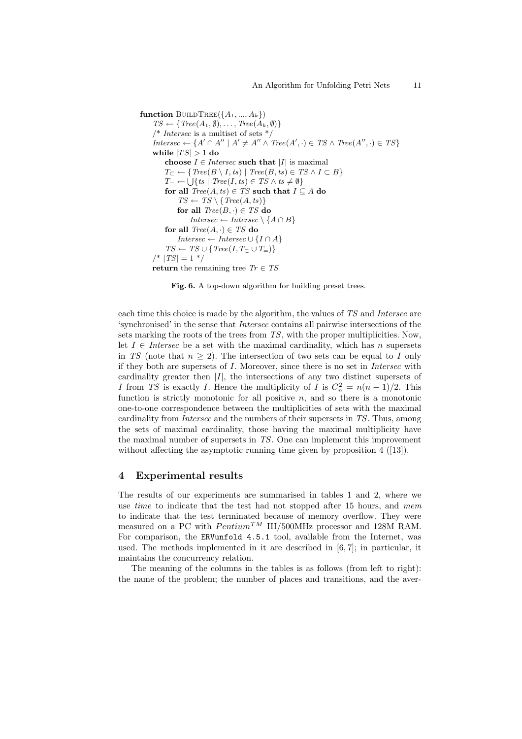function BUILDTREE( $\{A_1, ..., A_k\}$ )  $TS \leftarrow \{Tree(A_1, \emptyset), \ldots, Tree(A_k, \emptyset) \}$  $\frac{1}{\sqrt{2}}$  Intersec is a multiset of sets  $\frac{1}{\sqrt{2}}$  $Interest \leftarrow \{A' \cap A'' \mid A' \neq A'' \land Tree(A', \cdot) \in TS \land Tree(A'', \cdot) \in TS\}$ while  $|TS| > 1$  do choose  $I \in \text{Interest}$  such that |I| is maximal  $T_{\subset} \leftarrow \{ \text{Tree}(B \setminus I, ts) \mid \text{Tree}(B, ts) \in TS \land I \subset B \}$  $T_{=} \leftarrow \bigcup \{ ts \mid Tree(I, ts) \in TS \land ts \neq \emptyset \}$ for all  $Tree(A, ts) \in TS$  such that  $I \subseteq A$  do  $TS \leftarrow TS \setminus \{Tree(A, ts)\}$ for all  $Tree(B, \cdot) \in TS$  do *Intersec* ← *Intersec*  $\setminus$  { $A \cap B$ } for all  $Tree(A, \cdot) \in TS$  do *Intersec* ← *Intersec* ∪  ${I \cap A}$  $TS \leftarrow TS \cup \{Tree(I, T_{\subset} \cup T_{=})\}$  $/*$  | TS| = 1  $*/$ return the remaining tree  $Tr \in TS$ 

Fig. 6. A top-down algorithm for building preset trees.

each time this choice is made by the algorithm, the values of TS and Intersec are 'synchronised' in the sense that Intersec contains all pairwise intersections of the sets marking the roots of the trees from TS, with the proper multiplicities. Now, let  $I \in \text{Interest}$  be a set with the maximal cardinality, which has n supersets in TS (note that  $n \geq 2$ ). The intersection of two sets can be equal to I only if they both are supersets of I. Moreover, since there is no set in Intersec with cardinality greater then  $|I|$ , the intersections of any two distinct supersets of I from TS is exactly I. Hence the multiplicity of I is  $C_n^2 = n(n-1)/2$ . This function is strictly monotonic for all positive  $n$ , and so there is a monotonic one-to-one correspondence between the multiplicities of sets with the maximal cardinality from Intersec and the numbers of their supersets in TS. Thus, among the sets of maximal cardinality, those having the maximal multiplicity have the maximal number of supersets in TS. One can implement this improvement without affecting the asymptotic running time given by proposition 4 ([13]).

### 4 Experimental results

The results of our experiments are summarised in tables 1 and 2, where we use time to indicate that the test had not stopped after 15 hours, and mem to indicate that the test terminated because of memory overflow. They were measured on a PC with  $Pentium^{TM}$  III/500MHz processor and 128M RAM. For comparison, the ERVunfold 4.5.1 tool, available from the Internet, was used. The methods implemented in it are described in [6, 7]; in particular, it maintains the concurrency relation.

The meaning of the columns in the tables is as follows (from left to right): the name of the problem; the number of places and transitions, and the aver-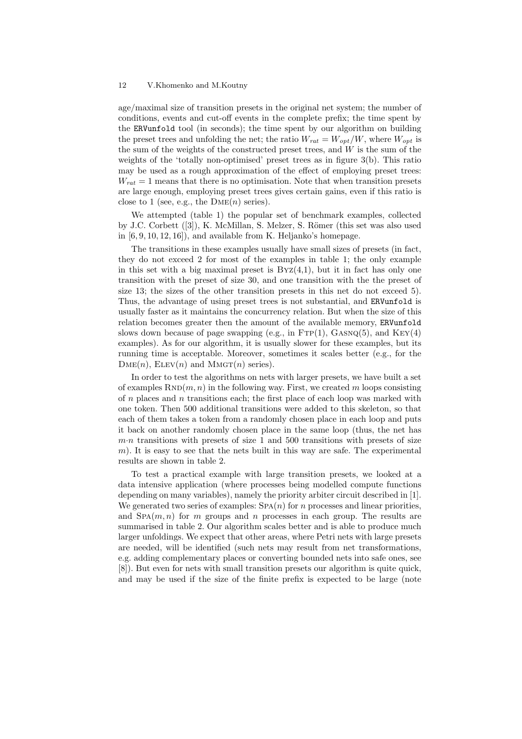age/maximal size of transition presets in the original net system; the number of conditions, events and cut-off events in the complete prefix; the time spent by the ERVunfold tool (in seconds); the time spent by our algorithm on building the preset trees and unfolding the net; the ratio  $W_{rat} = W_{opt}/W$ , where  $W_{opt}$  is the sum of the weights of the constructed preset trees, and  $W$  is the sum of the weights of the 'totally non-optimised' preset trees as in figure 3(b). This ratio may be used as a rough approximation of the effect of employing preset trees:  $W_{rat} = 1$  means that there is no optimisation. Note that when transition presets are large enough, employing preset trees gives certain gains, even if this ratio is close to 1 (see, e.g., the  $DME(n)$  series).

We attempted (table 1) the popular set of benchmark examples, collected by J.C. Corbett ([3]), K. McMillan, S. Melzer, S. Römer (this set was also used in [6, 9, 10, 12, 16]), and available from K. Heljanko's homepage.

The transitions in these examples usually have small sizes of presets (in fact, they do not exceed 2 for most of the examples in table 1; the only example in this set with a big maximal preset is  $Byz(4,1)$ , but it in fact has only one transition with the preset of size 30, and one transition with the the preset of size 13; the sizes of the other transition presets in this net do not exceed 5). Thus, the advantage of using preset trees is not substantial, and ERVunfold is usually faster as it maintains the concurrency relation. But when the size of this relation becomes greater then the amount of the available memory, ERVunfold slows down because of page swapping (e.g., in  $FTP(1)$ ,  $GASNQ(5)$ , and  $KFY(4)$ examples). As for our algorithm, it is usually slower for these examples, but its running time is acceptable. Moreover, sometimes it scales better (e.g., for the  $DME(n)$ ,  $ELEV(n)$  and  $MMGT(n)$  series).

In order to test the algorithms on nets with larger presets, we have built a set of examples  $\text{RND}(m, n)$  in the following way. First, we created m loops consisting of n places and n transitions each; the first place of each loop was marked with one token. Then 500 additional transitions were added to this skeleton, so that each of them takes a token from a randomly chosen place in each loop and puts it back on another randomly chosen place in the same loop (thus, the net has  $m \cdot n$  transitions with presets of size 1 and 500 transitions with presets of size  $m$ ). It is easy to see that the nets built in this way are safe. The experimental results are shown in table 2.

To test a practical example with large transition presets, we looked at a data intensive application (where processes being modelled compute functions depending on many variables), namely the priority arbiter circuit described in [1]. We generated two series of examples:  $\text{SPA}(n)$  for n processes and linear priorities, and  $\text{SPA}(m, n)$  for m groups and n processes in each group. The results are summarised in table 2. Our algorithm scales better and is able to produce much larger unfoldings. We expect that other areas, where Petri nets with large presets are needed, will be identified (such nets may result from net transformations, e.g. adding complementary places or converting bounded nets into safe ones, see [8]). But even for nets with small transition presets our algorithm is quite quick, and may be used if the size of the finite prefix is expected to be large (note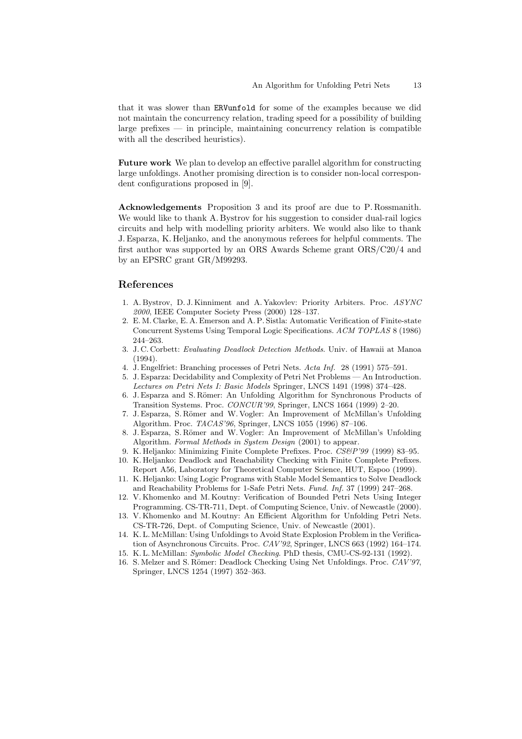that it was slower than ERVunfold for some of the examples because we did not maintain the concurrency relation, trading speed for a possibility of building  $\ell$ large prefixes — in principle, maintaining concurrency relation is compatible with all the described heuristics).

Future work We plan to develop an effective parallel algorithm for constructing large unfoldings. Another promising direction is to consider non-local correspondent configurations proposed in [9].

Acknowledgements Proposition 3 and its proof are due to P. Rossmanith. We would like to thank A. Bystrov for his suggestion to consider dual-rail logics circuits and help with modelling priority arbiters. We would also like to thank J.Esparza, K. Heljanko, and the anonymous referees for helpful comments. The first author was supported by an ORS Awards Scheme grant ORS/C20/4 and by an EPSRC grant GR/M99293.

### References

- 1. A. Bystrov, D. J. Kinniment and A. Yakovlev: Priority Arbiters. Proc. ASYNC 2000, IEEE Computer Society Press (2000) 128–137.
- 2. E. M. Clarke, E. A.Emerson and A.P. Sistla: Automatic Verification of Finite-state Concurrent Systems Using Temporal Logic Specifications. ACM TOPLAS 8 (1986) 244–263.
- 3. J. C. Corbett: Evaluating Deadlock Detection Methods. Univ. of Hawaii at Manoa (1994).
- 4. J.Engelfriet: Branching processes of Petri Nets. Acta Inf. 28 (1991) 575–591.
- 5. J.Esparza: Decidability and Complexity of Petri Net Problems An Introduction. Lectures on Petri Nets I: Basic Models Springer, LNCS 1491 (1998) 374–428.
- 6. J. Esparza and S. Römer: An Unfolding Algorithm for Synchronous Products of Transition Systems. Proc. CONCUR'99, Springer, LNCS 1664 (1999) 2–20.
- 7. J. Esparza, S. Römer and W. Vogler: An Improvement of McMillan's Unfolding Algorithm. Proc. TACAS'96, Springer, LNCS 1055 (1996) 87–106.
- 8. J. Esparza, S. Römer and W. Vogler: An Improvement of McMillan's Unfolding Algorithm. Formal Methods in System Design (2001) to appear.
- 9. K. Heljanko: Minimizing Finite Complete Prefixes. Proc. CS&P'99 (1999) 83–95.
- 10. K. Heljanko: Deadlock and Reachability Checking with Finite Complete Prefixes. Report A56, Laboratory for Theoretical Computer Science, HUT, Espoo (1999).
- 11. K. Heljanko: Using Logic Programs with Stable Model Semantics to Solve Deadlock and Reachability Problems for 1-Safe Petri Nets. Fund. Inf. 37 (1999) 247–268.
- 12. V. Khomenko and M. Koutny: Verification of Bounded Petri Nets Using Integer Programming. CS-TR-711, Dept. of Computing Science, Univ. of Newcastle (2000).
- 13. V. Khomenko and M. Koutny: An Efficient Algorithm for Unfolding Petri Nets. CS-TR-726, Dept. of Computing Science, Univ. of Newcastle (2001).
- 14. K. L. McMillan: Using Unfoldings to Avoid State Explosion Problem in the Verification of Asynchronous Circuits. Proc. CAV'92, Springer, LNCS 663 (1992) 164–174.
- 15. K. L. McMillan: Symbolic Model Checking. PhD thesis, CMU-CS-92-131 (1992).
- 16. S. Melzer and S. Römer: Deadlock Checking Using Net Unfoldings. Proc. CAV'97, Springer, LNCS 1254 (1997) 352–363.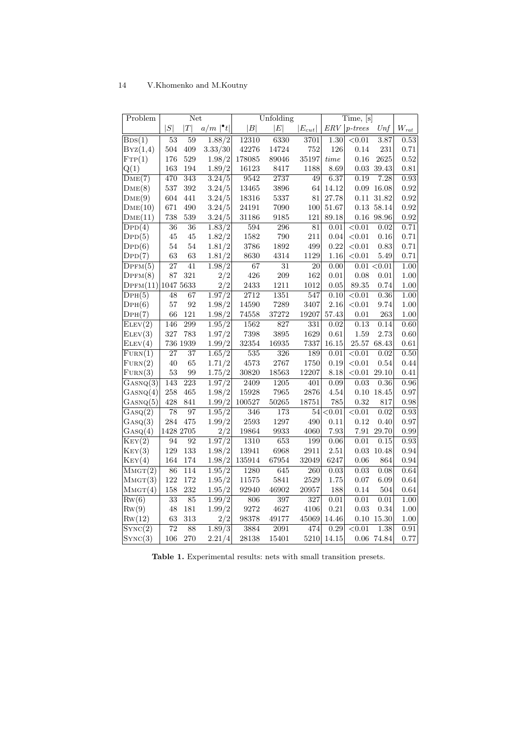| Problem                           | Net             |          |                     |              | Unfolding           | $\overline{\text{Time}}$ , [s] |            |                    |             |                     |
|-----------------------------------|-----------------|----------|---------------------|--------------|---------------------|--------------------------------|------------|--------------------|-------------|---------------------|
|                                   | S               | T        | $a/m \mid t$        | B            | E                   | $ E_{cut} $                    |            | $ERV$ p-trees      | Unf         | $\mathcal{W}_{rat}$ |
| BDS(1)                            | 53              | 59       | 1.88/2              | 12310        | 6330                | 3701                           | 1.30       | $\overline{<}0.01$ | 3.87        | 0.53                |
| Byz(1,4)                          | 504             | 409      | 3.33/30             | 42276        | 14724               | 752                            | 126        | 0.14               | 231         | 0.71                |
| FTP(1)                            | 176             | 529      | 1.98/2              | 178085       | 89046               | 35197                          | time       | 0.16               | 2625        | $\rm 0.52$          |
| Q(1)                              | 163             | 194      | 1.89/2              | 16123        | 8417                | 1188                           | 8.69       | 0.03               | 39.43       | 0.81                |
| DME(7)                            | 470             | 343      | 3.24/5              | 9542         | 2737                | 49                             | 6.37       | 0.19               | 7.28        | 0.93                |
| DME(8)                            | 537             | 392      | 3.24/5              | 13465        | 3896                | 64                             | 14.12      | $0.09\,$           | 16.08       | $\rm 0.92$          |
| DME(9)                            | $604\,$         | 441      | 3.24/5              | 18316        | 5337                | 81                             | 27.78      | $0.11\,$           | $31.82\,$   | $\rm 0.92$          |
| DME(10)                           | 671             | 490      | 3.24/5              | 24191        | 7090                | 100                            | 51.67      | $\rm 0.13$         | 58.14       | 0.92                |
| DME(11)                           | 738             | 539      | 3.24/5              | 31186        | $\boldsymbol{9185}$ | 121                            | 89.18      | $0.16\,$           | 98.96       | $\rm 0.92$          |
| DPD(4)                            | 36              | 36       | 1.83/2              | 594          | 296                 | 81                             | 0.01       | < 0.01             | 0.02        | 0.71                |
| DPD(5)                            | 45              | 45       | 1.82/2              | 1582         | 790                 | 211                            | $0.04\,$   | $<\!\!0.01$        | $0.16\,$    | 0.71                |
| DPD(6)                            | 54              | $54\,$   | 1.81/2              | 3786         | 1892                | 499                            | 0.22       | < 0.01             | 0.83        | 0.71                |
| DPD(7)                            | 63              | 63       | 1.81/2              | 8630         | 4314                | 1129                           | 1.16       | < 0.01             | 5.49        | 0.71                |
| DPFM(5)                           | 27              | 41       | 1.98/2              | 67           | 31                  | 20                             | 0.00       |                    | 0.01 < 0.01 | 1.00                |
| DPFM(8)                           | 87              | 321      | 2/2                 | 426          | 209                 | 162                            | 0.01       | 0.08               | 0.01        | 1.00                |
| $DPFM(11)$ 1047 5633              |                 |          | 2/2                 | 2433         | $1211\,$            | 1012                           | 0.05       | $89.35\,$          | 0.74        | $1.00\,$            |
| $\overline{\mathrm{DPH}}(5)$      | 48              | 67       | 1.97/2              | 2712         | 1351                | 547                            | 0.10       | < 0.01             | 0.36        | 1.00                |
| DPH(6)                            | 57              | 92       | 1.98/2              | 14590        | 7289                | 3407                           | 2.16       | ${<}0.01$          | 9.74        | $1.00\,$            |
| DPH(7)                            | 66              | 121      | 1.98/2              | 74558        | $37272\,$           | 19207                          | 57.43      | 0.01               | $263\,$     | $1.00\,$            |
| $\overline{\mathrm{E}}$ LEV $(2)$ | 146             | 299      | 1.95/2              | 1562         | 827                 | 331                            | 0.02       | 0.13               | 0.14        | 0.60                |
| ELEV(3)                           | 327             | 783      | 1.97/2              | 7398         | 3895                | 1629                           | $\rm 0.61$ | 1.59               | 2.73        | 0.60                |
| ELEV(4)                           |                 | 736 1939 | 1.99/2              | 32354        | 16935               | 7337                           | $16.15\,$  | 25.57              | 68.43       | $\rm 0.61$          |
| FURN(1)                           | $\overline{27}$ | 37       | 1.65/2              | 535          | 326                 | 189                            | 0.01       | < 0.01             | 0.02        | 0.50                |
| FURN(2)                           | 40              | 65       | 1.71/2              | 4573         | 2767                | 1750                           | 0.19       | < 0.01             | 0.54        | 0.44                |
| FURN(3)                           | 53              | 99       | 1.75/2              | 30820        | $18563\,$           | 12207                          | 8.18       | $<\!\!0.01$        | 29.10       | $0.41\,$            |
| GASNQ(3)                          | 143             | 223      | 1.97/2              | 2409         | 1205                | 401                            | 0.09       | 0.03               | 0.36        | 0.96                |
| GASNQ(4)                          | 258             | 465      | 1.98/2              | $15928\,$    | 7965                | 2876                           | 4.54       | 0.10               | 18.45       | 0.97                |
| GASNQ(5)                          | 428             | 841      | 1.99/2              | 100527       | $50265\,$           | 18751                          | 785        | 0.32               | 817         | $\rm 0.98$          |
| GASQ(2)                           | 78              | 97       | $1.\overline{95/2}$ | 346          | 173                 | 54                             | < 0.01     | < 0.01             | 0.02        | 0.93                |
| GASQ(3)                           | 284             | 475      | 1.99/2              | $2593\,$     | 1297                | 490                            | 0.11       | $\rm 0.12$         | 0.40        | 0.97                |
| GASQ(4)                           | 1428 2705       |          | 2/2                 | 19864        | $\boldsymbol{9933}$ | 4060                           | 7.93       | 7.91               | 29.70       | $\rm 0.99$          |
| $Ker(\overline{2})$               | 94              | 92       | 1.97/2              | 1310         | 653                 | 199                            | 0.06       | 0.01               | 0.15        | 0.93                |
| KEY(3)                            | 129             | 133      | 1.98/2              | 13941        | 6968                | 2911                           | $2.51\,$   | 0.03               | 10.48       | 0.94                |
| KEY(4)                            | 164             | 174      | 1.98/2              | 135914       | 67954               | 32049                          | 6247       | 0.06               | 864         | 0.94                |
| M <sub>MG</sub> (2)               | 86              | 114      | 1.95/2              | 1280         | 645                 | 260                            | 0.03       | 0.03               | 0.08        | 0.64                |
| MMGT(3)                           | 122             | 172      | 1.95/2              | 11575        | 5841                | 2529                           | 1.75       | 0.07               | 6.09        | 0.64                |
| MMGT(4)                           | 158             | 232      | 1.95/2              | 92940        | $46902\,$           | 20957                          | 188        | 0.14               | 504         | 0.64                |
| RW(6)                             | $\overline{33}$ | 85       | 1.99/2              | 806          | 397                 | 327                            | 0.01       | 0.01               | 0.01        | 1.00                |
| RW(9)                             | 48              | 181      | 1.99/2              | 9272         | 4627                | 4106                           | $\rm 0.21$ | $\rm 0.03$         | $\rm 0.34$  | $1.00\,$            |
| RW(12)                            | 63              | 313      | 2/2                 | 98378        | 49177               | 45069                          | 14.46      | 0.10               | 15.30       | $1.00\,$            |
| $\overline{\text{SYNC}}(2)$       | $\overline{72}$ | 88       | 1.89/3              | 3884         | 2091                | 474                            | 0.29       | $\overline{<}0.01$ | 1.38        | 0.91                |
| SYNC(3)                           | 106             | 270      | 2.21/4              | $\quad28138$ | 15401               | $5210\,$                       | 14.15      | $0.06\,$           | 74.84       | $0.77\,$            |

Table 1. Experimental results: nets with small transition presets.